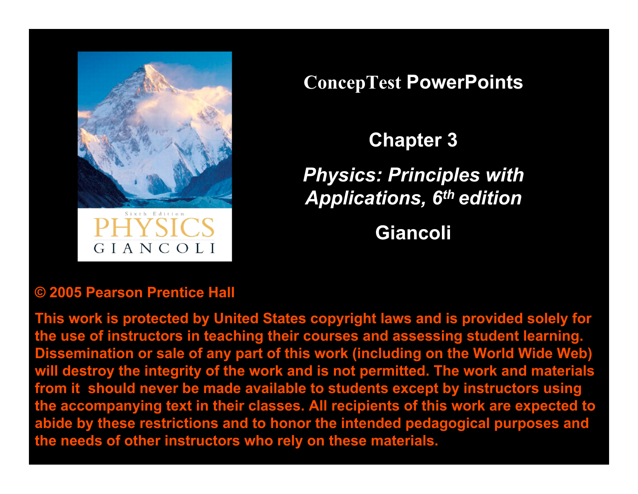

**ConcepTest PowerPoints**

**Chapter 3**

*Physics: Principles with Applications, 6th edition*

**Giancoli**

### **© 2005 Pearson Prentice Hall**

**This work is protected by United States copyright laws and is provided solely for the use of instructors in teaching their courses and assessing student learning. Dissemination or sale of any part of this work (including on the World Wide Web) will destroy the integrity of the work and is not permitted. The work and materials from it should never be made available to students except by instructors using the accompanying text in their classes. All recipients of this work are expected to abide by these restrictions and to honor the intended pedagogical purposes and the needs of other instructors who rely on these materials.**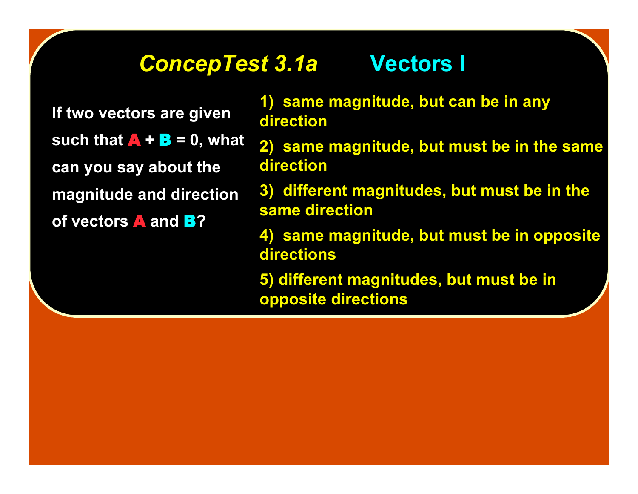### *ConcepTest 3.1a ConcepTest 3.1a* **Vectors I Vectors I**

**If two vectors are given such that**  $\bf{A} + \bf{B} = 0$ **, what can you say about the magnitude and direction of vectors** A **and** B**?**

**1) same magnitude, but can be in any direction**

- **2) same magnitude, but must be in the same direction**
- **3) different magnitudes, but must be in the same direction**
- **4) same magnitude, but must be in opposite directions**
- **5) different magnitudes, but must be in opposite directions**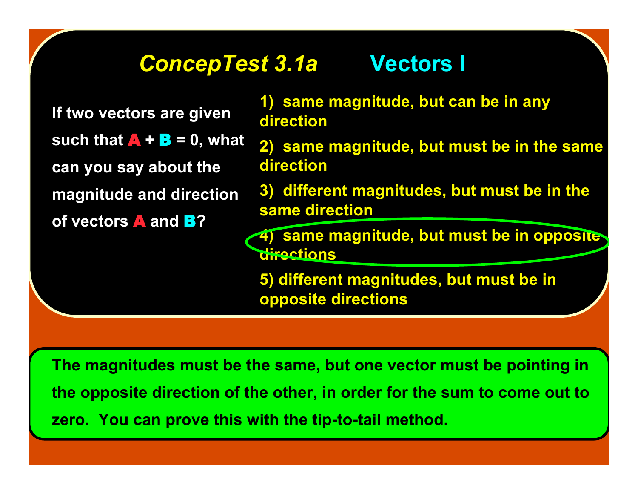### *ConcepTest 3.1a ConcepTest 3.1a* **Vectors I Vectors I**

**If two vectors are given such that**  $\bf{A} + \bf{B} = 0$ **, what can you say about the magnitude and direction of vectors** A **and** B**?**

**1) same magnitude, but can be in any direction**

- **2) same magnitude, but must be in the same direction**
- **3) different magnitudes, but must be in the same direction**

**6) same magnitude, but must be in opposite directions**

**5) different magnitudes, but must be in opposite directions**

**The magnitudes must be the same, but one vector must be pointing in the opposite direction of the other, in order for the sum to come out to zero. You can prove this with the tip-to-tail method.**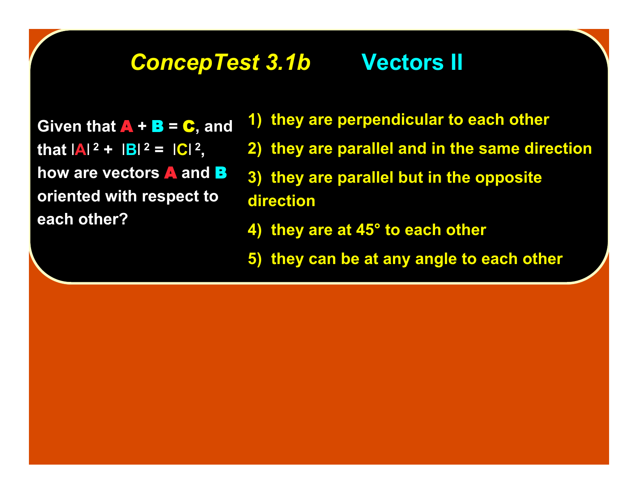### *ConcepTest 3.1b ConcepTest 3.1b* **Vectors II Vectors II**

**Given that**  $\bf{A}$  **+**  $\bf{B}$  **=**  $\bf{C}$ **, and that**  $|A|^2 + |B|^2 = |C|^2$ , **how are vectors** A **and** B **oriented with respect to each other?**

- **1) they are perpendicular to each other**
- **2) they are parallel and in the same direction**
- **3) they are parallel but in the opposite direction**
- **4) they are at 45° to each other**
- **5) they can be at any angle to each other**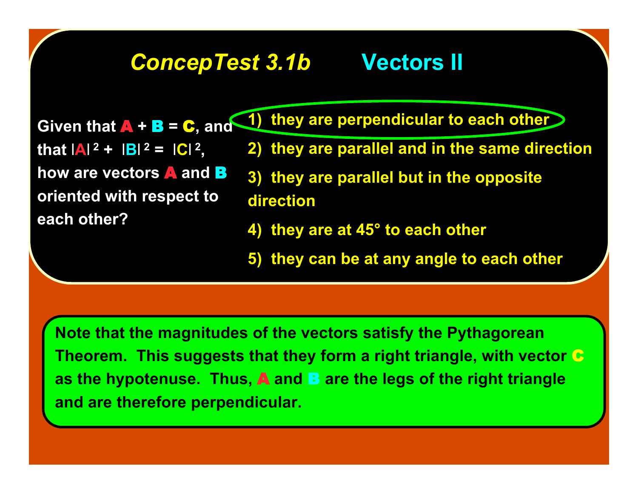# *ConcepTest 3.1b ConcepTest 3.1b* **Vectors II Vectors II**

**Given that** A **+** B **=** C**, and that**  $|A|^2 + |B|^2 = |C|^2$ , **how are vectors** A **and** B **oriented with respect to each other?**

- **1) they are perpendicular to each other**
	- **2) they are parallel and in the same direction**
	- **3) they are parallel but in the opposite direction**
	- **4) they are at 45° to each other**
	- **5) they can be at any angle to each other**

**Note that the magnitudes of the vectors satisfy the Pythagorean Theorem. This suggests that they form a right triangle, with vector** C **as the hypotenuse. Thus, A and B are the legs of the right triangle and are therefore perpendicular.**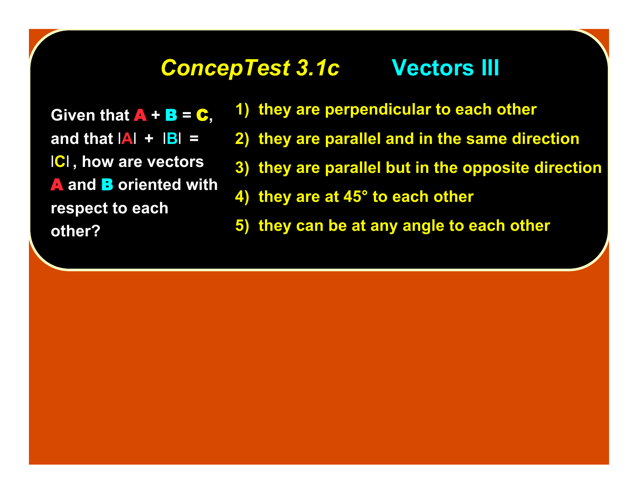### **ConcepTest 3.1c Vectors III**

**Given that**  $\bf{A}$  **+**  $\bf{B}$  **=**  $\bf{C}$ , **and that** l**A**l **+** l**B**l **=** l**C**l **, how are vectors** A **and** B **oriented with respect to each other?**

- **1) they are perpendicular to each other**
- **2) they are parallel and in the same direction**
- **3) they are parallel but in the opposite direction**
- **4) they are at 45° to each other**
- **5) they can be at any angle to each other**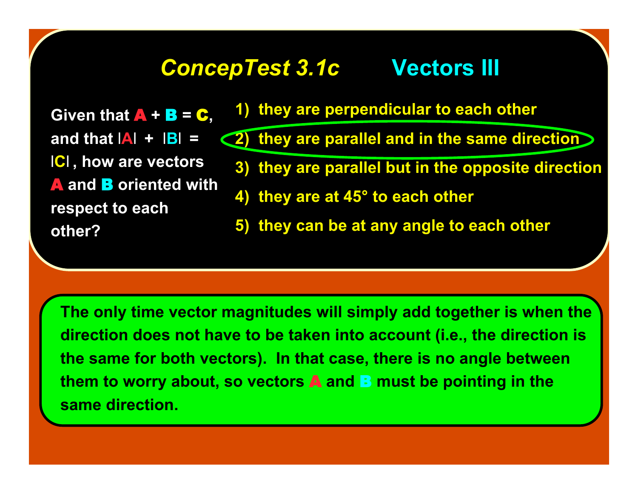### **ConcepTest 3.1c Vectors III**

**Given that**  $\bf{A}$  **+**  $\bf{B}$  **=**  $\bf{C}$ , and that  $|\mathbf{A}| + |\mathbf{B}| =$ l**C**l **, how are vectors** A **and** B **oriented with respect to each other?**

- **1) they are perpendicular to each other**
- **2) they are parallel and in the same direction**
	- **3) they are parallel but in the opposite direction**
	- **4) they are at 45° to each other**
	- **5) they can be at any angle to each other**

**The only time vector magnitudes will simply add together is when the direction does not have to be taken into account (i.e., the direction is the same for both vectors). In that case, there is no angle between them to worry about, so vectors** A **and** B **must be pointing in the same direction.**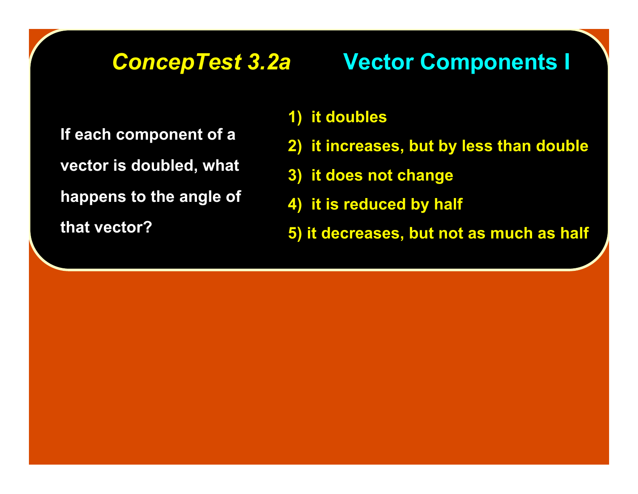## **ConcepTest 3.2a Vector Components I**

**If each component of a vector is doubled, what happens to the angle of that vector?**

### **1) it doubles**

- **2) it increases, but by less than double**
- **3) it does not change**
- **4) it is reduced by half**
- **5) it decreases, but not as much as half**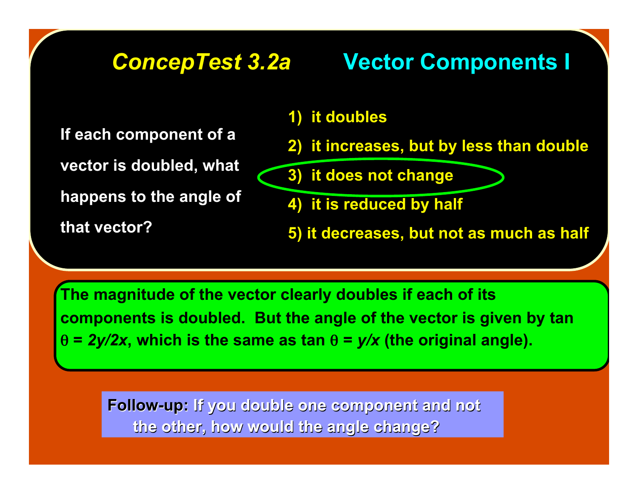# **ConcepTest 3.2a Vector Components I**

**If each component of a**

**vector is doubled, what**

**happens to the angle of**

**that vector?**

### **1) it doubles**

- **2) it increases, but by less than double**
- **3) it does not change**
- **4) it is reduced by half**
- **5) it decreases, but not as much as half**

**The magnitude of the vector clearly doubles if each of its components is doubled. But the angle of the vector is given by tan** θ **=** *2y/2x***, which is the same as tan** θ **=** *y/x* **(the original angle).**

**Follow-up:** If you double one component and not **the other, how would the angle change? the other, how would the angle change?**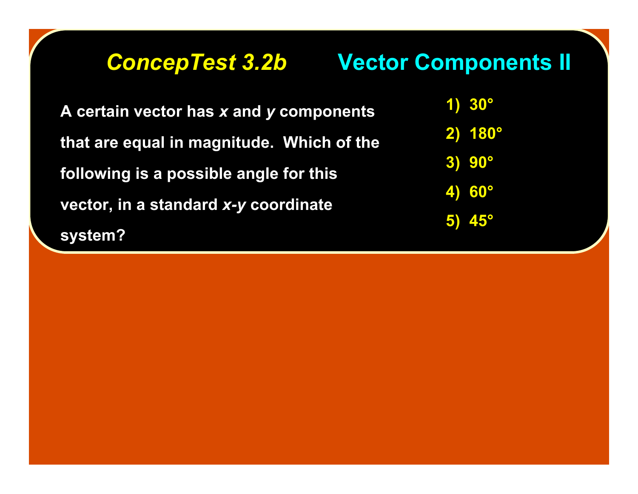# **ConcepTest 3.2b Vector Components II**

**A certain vector has x and y components that are equal in magnitude. Which of the that are equal in magnitude. Which of the following is a possible angle for this following is a possible angle for this vector, in a standard** *x-y* **coordinate system? system?**

**1) 30°**

**2) 180°**

**3) 90°**

**4) 60°**

**5) 45°**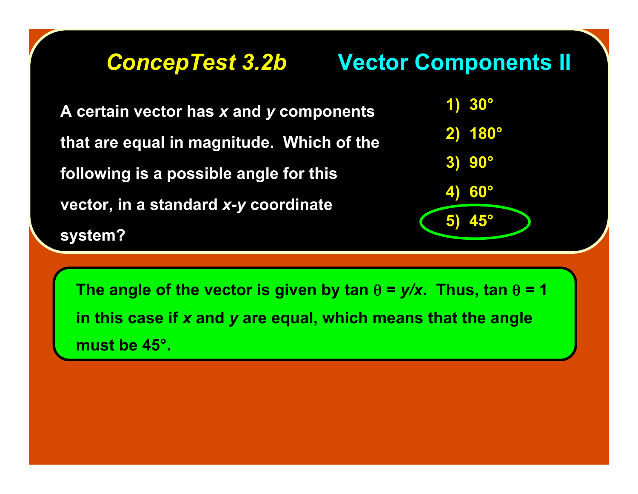### **ConcepTest 3.2b Vector Components II**

A certain vector has *x* and *y* components **that are equal in magnitude. Which of the that are equal in magnitude. Which of the following is a possible angle for this following is a possible angle for this vector, in a standard x-y coordinate system? system?**



**The angle of the vector is given by tan**  $\theta = y/x$ **. Thus, tan**  $\theta = 1$ **in this case if** *x* **and** *y* **are equal, which means that the angle must be 45°.**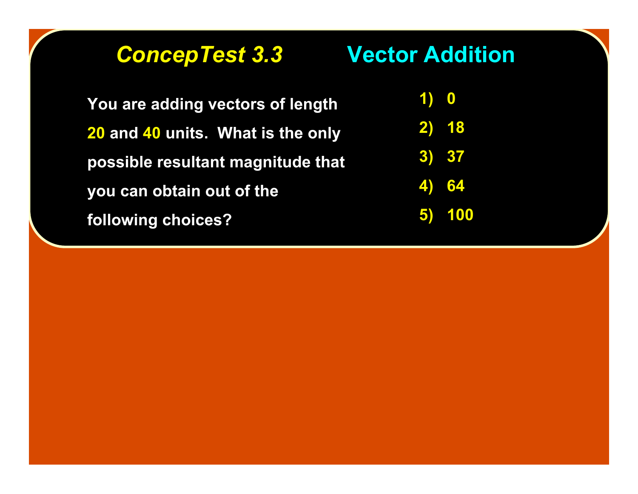*ConcepTest 3.3 ConcepTest 3.3* **Vector Addition Vector Addition**

**You are adding vectors of length 20 and 40 units. What is the only possible resultant magnitude that you can obtain out of the following choices?**

**1) 0 2) 18 2) 18 3) 37 3) 37 4) 64 4) 64 5) 100 5) 100**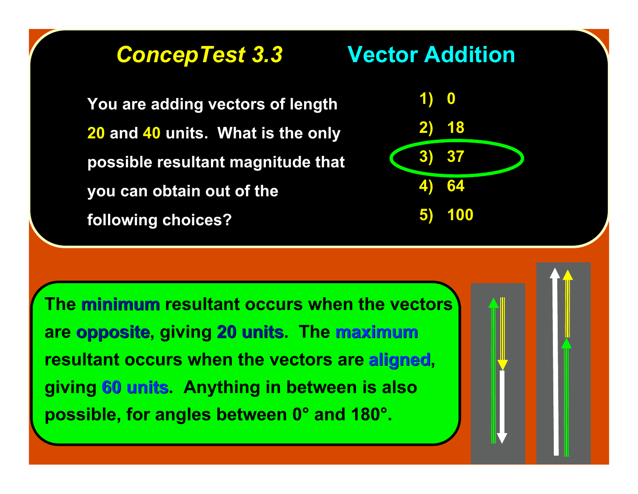### *ConcepTest 3.3 ConcepTest 3.3* **Vector Addition Vector Addition**

**You are adding vectors of length 20 and 40 units. What is the only possible resultant magnitude that you can obtain out of the following choices?**



**The minimum resultant occurs when the vectors are opposite opposite, giving 20 units 20 units. The maximum resultant occurs when the vectors are aligned, giving 60 units 60 units. Anything in between is also possible, for angles between 0° and 180°.**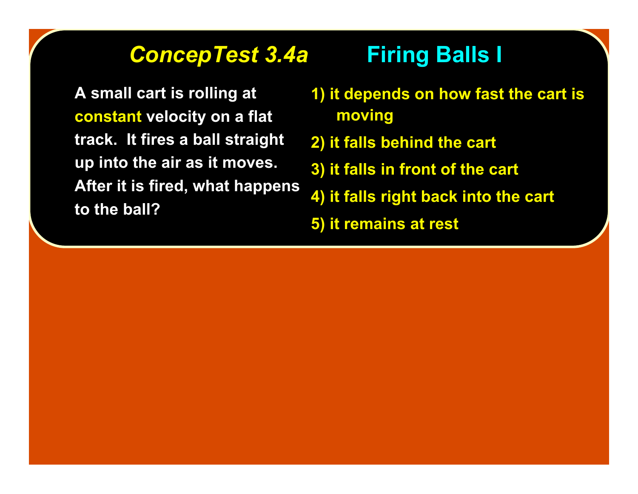### *ConcepTest 3.4a ConcepTest 3.4a* **Firing Balls I Firing Balls I**

**A small cart is rolling at constant velocity on a flat track. It fires a ball straight up into the air as it moves. After it is fired, what happens to the ball?**

- **1) it depends on how fast the cart is 1) it depends on how fast the cart is moving**
- **2) it falls behind the cart 2) it falls behind the cart**
- **3) it falls in front of the cart 3) it falls in front of the cart**
- **4) it falls right back into the cart 4) it falls right back into the cart**
- **5) it remains at rest 5) it remains at rest**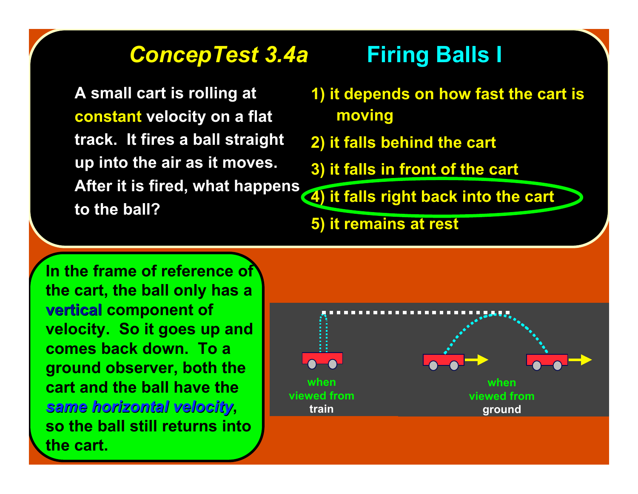# *ConcepTest 3.4a ConcepTest 3.4a* **Firing Balls I Firing Balls I**

**A small cart is rolling at constant velocity on a flat track. It fires a ball straight up into the air as it moves. After it is fired, what happens to the ball?**

- **1) it depends on how fast the cart is 1) it depends on how fast the cart is moving**
- **2) it falls behind the cart 2) it falls behind the cart**
- **3) it falls in front of the cart 3) it falls in front of the cart**

**4) it falls right back into the cart 4) it falls right back into the cart**

**5) it remains at rest 5) it remains at rest**

**In the frame of reference of the cart, the ball only has a vertical vertical component of velocity. So it goes up and comes back down. To a ground observer, both the cart and the ball have the** *same horizontal velocity same horizontal velocity***, so the ball still returns into the cart.**

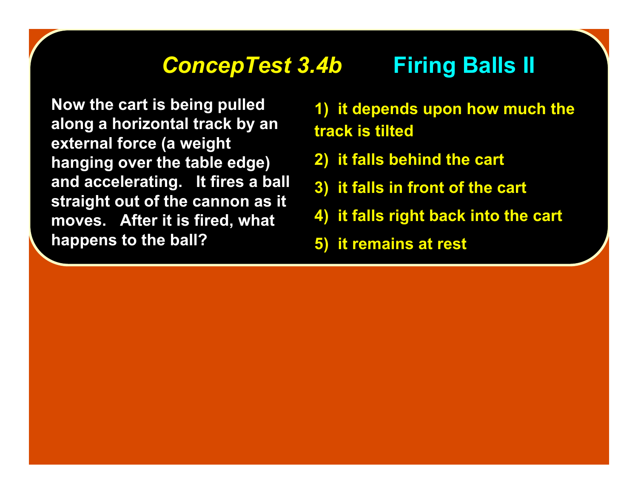### **ConcepTest 3.4b Firing Balls II**

**Now the cart is being pulled along a horizontal track by an external force (a weight hanging over the table edge) and accelerating. It fires a ball straight out of the cannon as it moves. After it is fired, what happens to the ball?**

**1) it depends upon how much the track is tilted**

- **2) it falls behind the cart**
- **3) it falls in front of the cart**
- **4) it falls right back into the cart**
- **5) it remains at rest**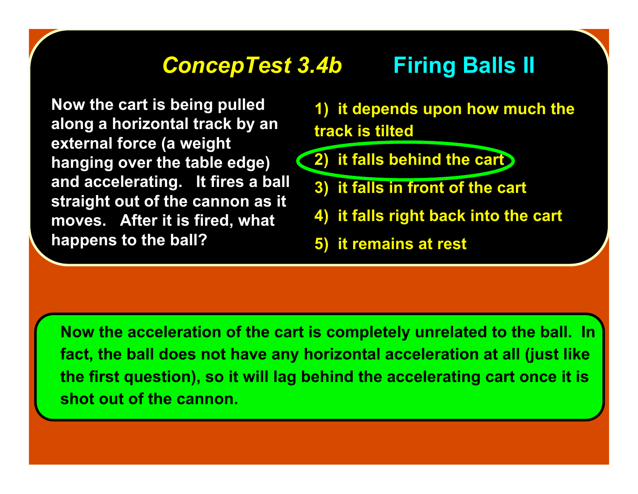## **ConcepTest 3.4b Firing Balls II**

**Now the cart is being pulled along a horizontal track by an external force (a weight hanging over the table edge) and accelerating. It fires a ball straight out of the cannon as it moves. After it is fired, what happens to the ball?**

**1) it depends upon how much the track is tilted**

- **2) it falls behind the cart**
	- **3) it falls in front of the cart**
	- **4) it falls right back into the cart**
	- **5) it remains at rest**

**Now the acceleration of the cart is completely unrelated to the ball. In fact, the ball does not have any horizontal acceleration at all (just like the first question), so it will lag behind the accelerating cart once it is shot out of the cannon.**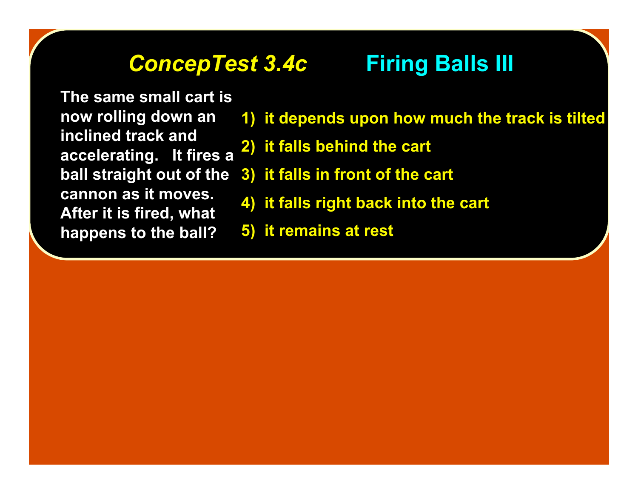## *ConcepTest 3.4c ConcepTest 3.4c* **Firing Balls III Firing Balls III**

**The same small cart is now rolling down an inclined track and accelerating. It fires a ball straight out of the cannon as it moves. After it is fired, what happens to the ball?**

- **1) it depends upon how much the track is tilted**
- **2) it falls behind the cart**
- **3) it falls in front of the cart**
- **4) it falls right back into the cart**
- **5) it remains at rest**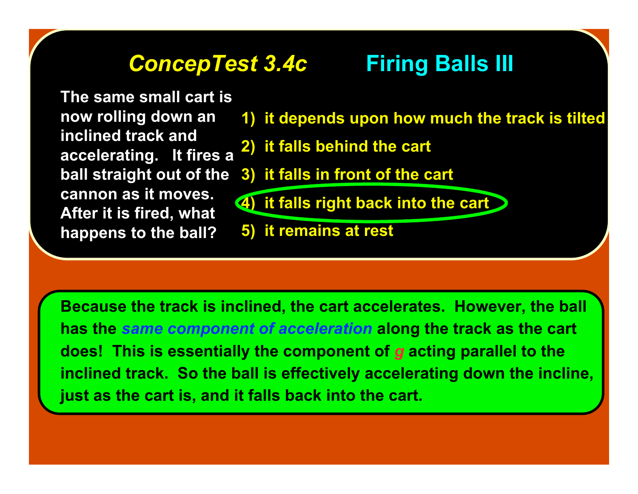# **ConcepTest 3.4c Firing Balls III**

**The same small cart is now rolling down an inclined track and accelerating. It fires a ball straight out of the cannon as it moves. After it is fired, what happens to the ball?**

### **1) it depends upon how much the track is tilted**

- **2) it falls behind the cart**
- **3) it falls in front of the cart**
- **4) it falls right back into the cart**
- **5) it remains at rest**

**Because the track is inclined, the cart accelerates. However, the ball has the** *same component of acceleration* **along the track as the cart does! This is essentially the component of** *g* **acting parallel to the inclined track. So the ball is effectively accelerating down the incline, just as the cart is, and it falls back into the cart.**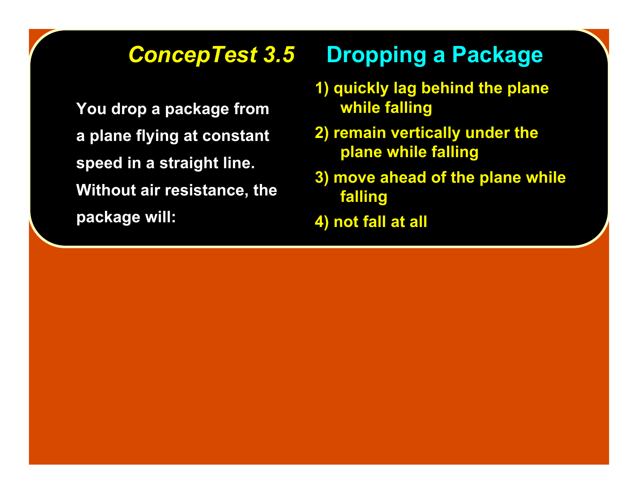**You drop a package from a plane flying at constant a plane flying at constant speed in a straight line. speed in a straight Without air resistance, the Without air resistance, the package will: package will:**

# **ConcepTest 3.5 Dropping a Package**

- **1) quickly lag behind the plane while falling while falling**
- **2) remain vertically under the 2) remain vertically under the plane while falling plane while falling**
- **3) move ahead of the plane while 3) move ahead of the plane while falling falling**
- **4) not fall at all 4) not fall at all**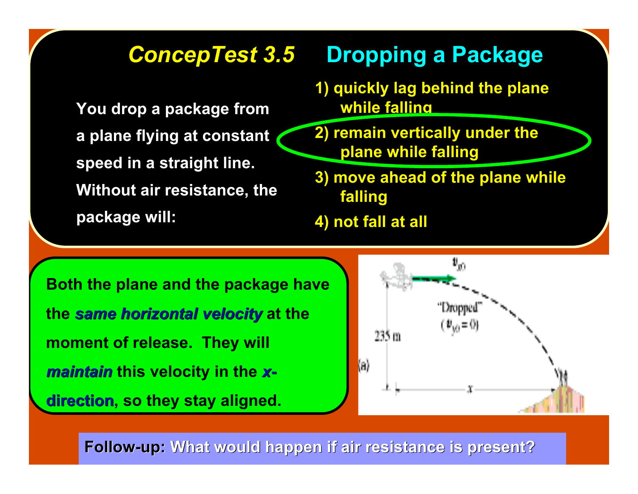# **ConcepTest 3.5 Dropping a Package**

**You drop a package from a plane flying at constant a plane flying at constant speed in a straight line. speed in a straight Without air resistance, the Without air resistance, the package will: package will:**

- **1) quickly lag behind the plane while falling while falling**
- **2) remain vertically under the 2) remain vertically under the plane while falling plane while falling**
- **3) move ahead of the plane while 3) move ahead of the plane while falling falling**
- **4) not fall at all 4) not fall at all**

**Both the plane and the package have the** *same horizontal horizontalvelocity velocity* **at the moment of release. They will** *maintain maintain* **this velocity in the** *x***direction, so they stay aligned.** 



**Follow-up: Follow-up: What would happen if air resistance is present? What would happen if air resistance is present?**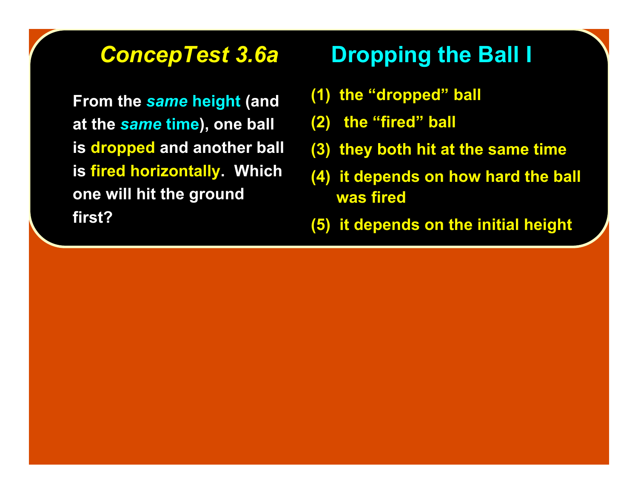**From the** *same* **height (and at the** *same* **time), one ball is dropped and another ball is fired horizontally. Which one will hit the ground first?**

# *ConcepTest 3.6a ConcepTest 3.6a* **Dropping the Ball I Dropping the Ball I**

- **(1) the "dropped" ball**
- **(2) the "fired" ball**
- **(3) they both hit at the same time (3) they both hit at the same time**
- **(4) it depends on how hard the ball (4) it depends on how hard the ball was fired was fired**
- **(5) it depends on the initial height (5) it depends on the initial height**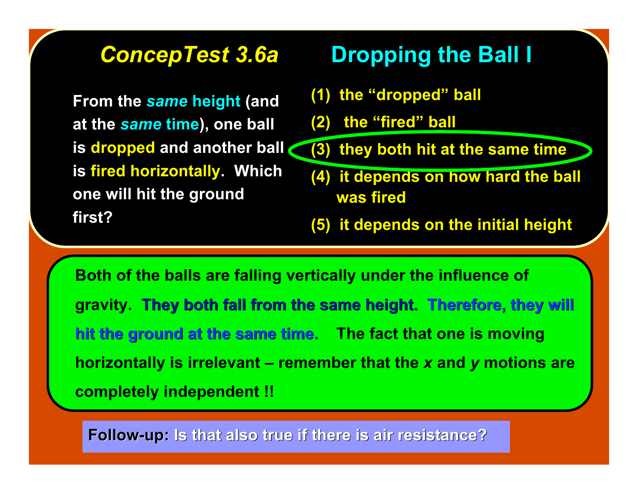**From the** *same* **height (and at the** *same* **time), one ball is dropped and another ball is fired horizontally. Which one will hit the ground first?**

# *ConcepTest 3.6a ConcepTest 3.6a* **Dropping the Ball I Dropping the Ball I**

- **(1) the "dropped" ball**
- **(2) the "fired" ball**
- **(3) they both hit at the same time (3) they both hit at the same time**
- **(4) it depends on how hard the ball (4) it depends on how hard the ball was fired was fired**
- **(5) it depends on the initial height (5) it depends on the initial height**

**Both of the balls are falling vertically under the influence of gravity. They both fall from the same height. Therefore, they will hit the ground at the same time. The fact that one is moving horizontally is irrelevant – remember that the** *x* **and** *y* **motions are completely independent !!**

**Follow-up: Follow-up: Is that also true if there is air resistance? Is that also true if there is air resistance?**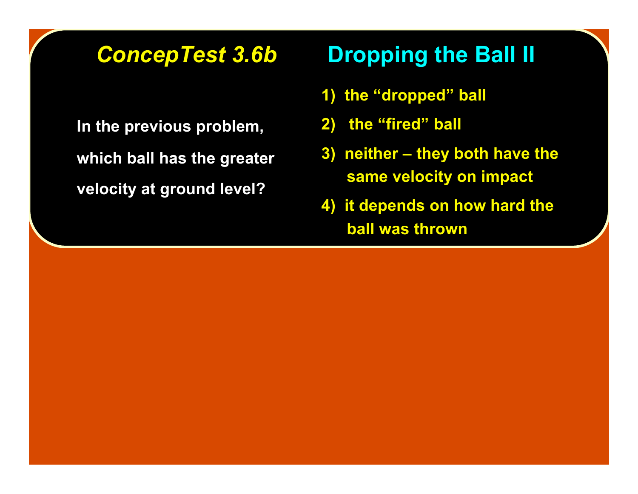**In the previous problem, In the previous problem, which ball has the greater which ball has the greater velocity at ground level? velocity at ground level?**

# **ConcepTest 3.6b Dropping the Ball II**

- **1) the "dropped" ball**
- **2)** the "fired" ball
- **3) neither they both have the same velocity on impact same velocity on impact**
- **4) it depends on how hard the ball was thrown ball was thrown**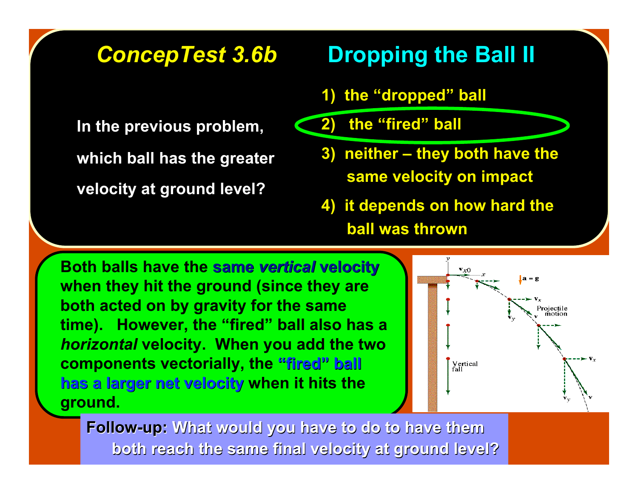**In the previous problem, In the previous problem, which ball has the greater which ball has the greater velocity at ground level? velocity at ground level?**

# *ConcepTest 3.6b ConcepTest 3.6b* **Dropping the Ball II Dropping the Ball II**

- **1) the "dropped" ball**
- **2)** the "fired" ball
	- **3) neither they both have the same velocity on impact same velocity on impact**
	- **4) it depends on how hard the ball was thrown ball was thrown**

**Both balls have the same vertical velocity when they hit the ground (since they are both acted on by gravity for the same time). However, the "fired" ball also has a** *horizontal* **velocity. When you add the two components vectorially, the "fired" ball has a larger net velocity has a larger net velocity when it hits the ground.**



**Follow-up: Follow-up: What would you have to do to have them both reach the same final velocity at ground level? both reach the same final velocity at ground level?**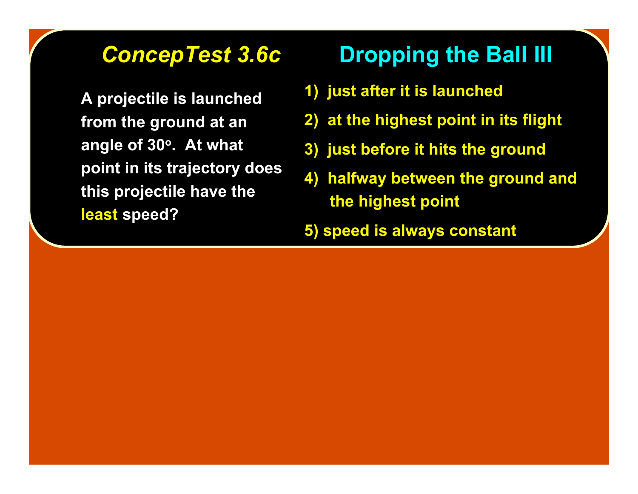**A projectile is launched from the ground at an angle of 30o. At what point in its trajectory does this projectile have the least speed?**

# **ConcepTest 3.6c Dropping the Ball III**

- **1) just after it is launched**
- **2) at the highest point in its flight**
- **3) just before it hits the ground**
- **4) halfway between the ground and the highest point**
- **5) speed is always constant**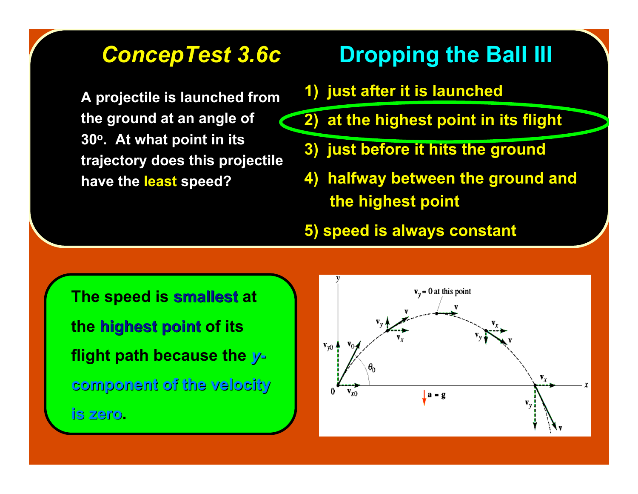**A projectile is launched from the ground at an angle of 30o. At what point in its trajectory does this projectile have the least speed?**

# **ConcepTest 3.6c Dropping the Ball III**

- **1) just after it is launched**
- **2) at the highest point in its flight**
- **3) just before it hits the ground**
- **4) halfway between the ground and the highest point**
- **5) speed is always constant**

**The speed is smallest smallest at the highest point highest point of its flight path because the** *y***component of the velocity component of the velocity is zero is zero.**

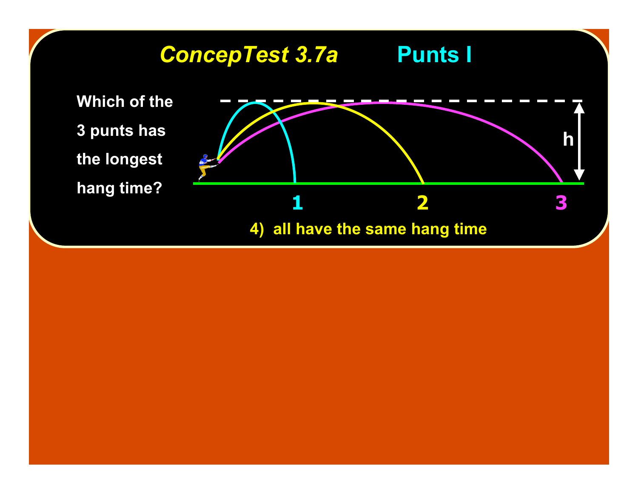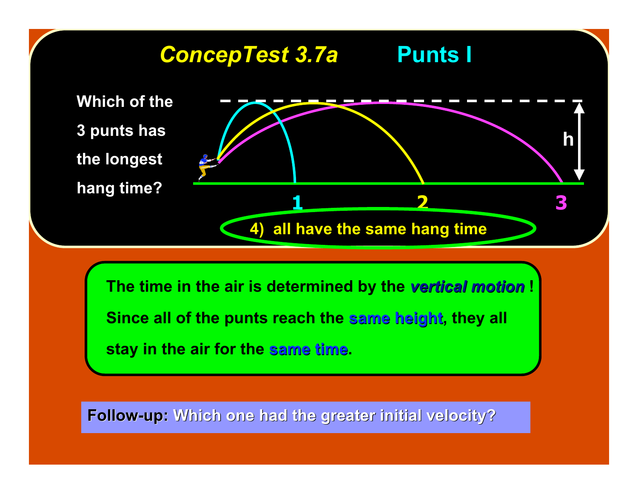

The time in the air is determined by the vertical motion ! **Since all of the punts reach the same height, they all stay in the air for the same time same time.**

**Follow-up: Follow-up: Which one had the greater initial velocity? Which one had the greater initial velocity?**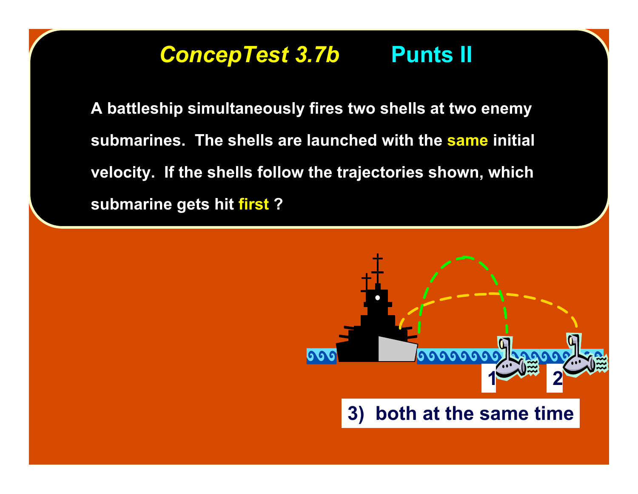# *ConcepTest 3.7b ConcepTest 3.7b* **Punts II Punts II**

**A battleship simultaneously fires two shells at two enemy A battleship simultaneously fires two shells at two enemy** submarines. The shells are launched with the same initial **velocity. If the shells follow the trajectories shown, which velocity. If the shells follow the trajectories shown, which** submarine gets hit first ?

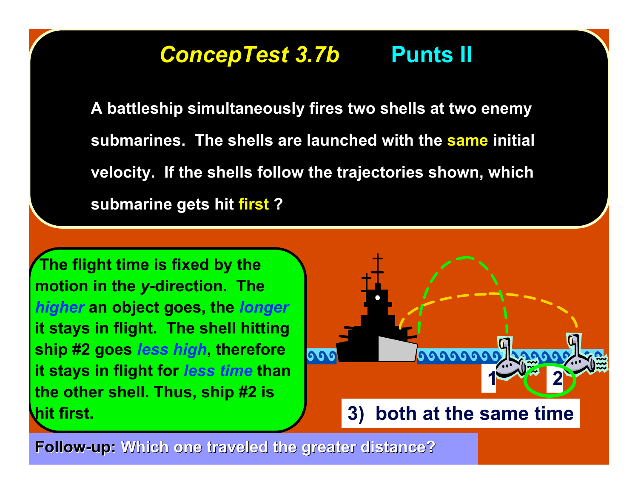# *ConcepTest 3.7b ConcepTest 3.7b* **Punts II Punts II**

**A battleship simultaneously fires two shells at two enemy A battleship simultaneously fires two shells at two enemy** submarines. The shells are launched with the same initial **velocity. If the shells follow the trajectories shown, which velocity. If the shells follow the trajectories shown, which** submarine gets hit first ?

 **The flight time is fixed by the motion in the** *y***-direction. The** *higher* **an object goes, the** *longer* **it stays in flight. The shell hitting ship #2 goes** *less high***, therefore it stays in flight for** *less time* **than the other shell. Thus, ship #2 is hit first.**



**Follow-up: Follow-up: Which one traveled the greater distance? Which one traveled the greater distance?**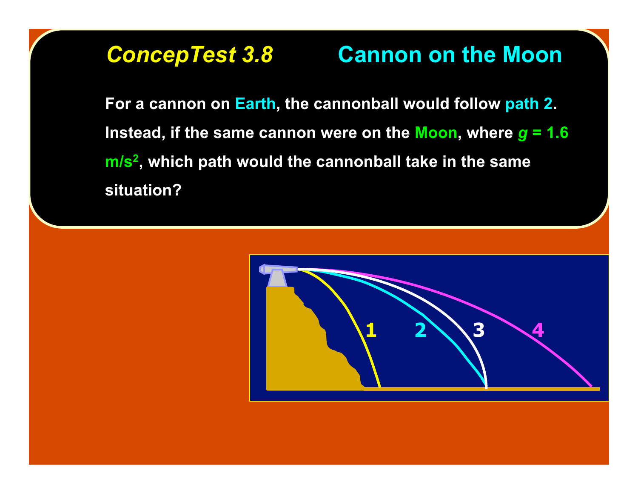# **ConcepTest 3.8 <b>Cannon on the Moon**

**For a cannon on Earth, the cannonball would follow path 2. Instead, if the same cannon were on the Moon, where** *g* **= 1.6 m/s2, which path would the cannonball take in the same situation?**

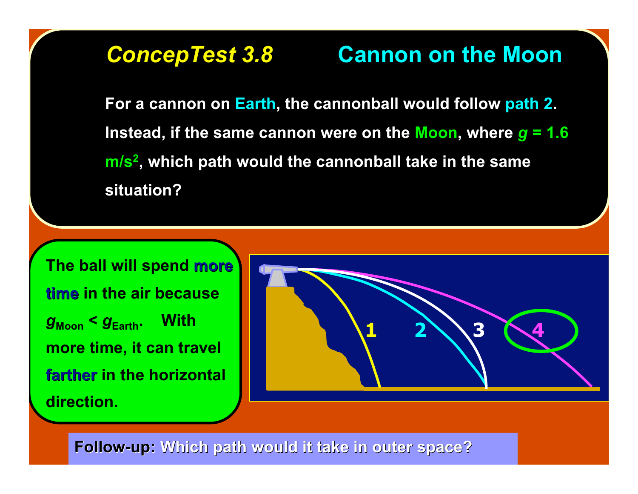# *ConcepTest 3.8 ConcepTest 3.8* **Cannon on the Moon Cannon on the Moon**

**For a cannon on Earth, the cannonball would follow path 2. Instead, if the same cannon were on the Moon, where** *g* **= 1.6 m/s2, which path would the cannonball take in the same situation?**

**The ball will spend more time in the air because**  $g_{\text{Moon}} < g_{\text{Earth}}$ . With **more time, it can travel farther farther in the horizontal direction.**



**Follow-up:** Which path would it take in outer space?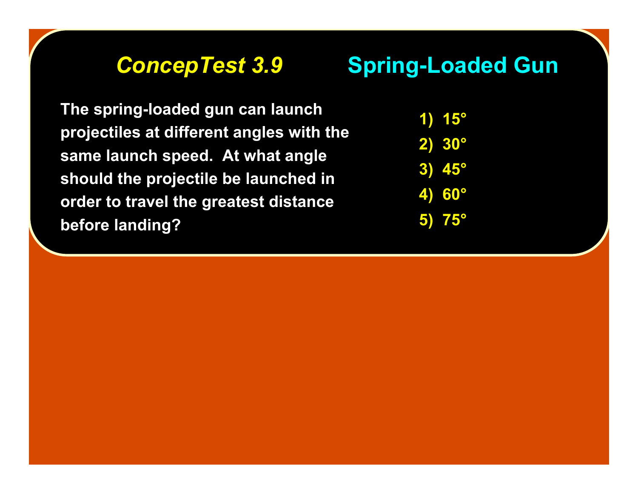# **ConcepTest 3.9 Spring-Loaded Gun**

**The spring-loaded gun can launch projectiles at different angles with the same launch speed. At what angle should the projectile be launched in order to travel the greatest distance before landing?**

**1) 15° 2) 30° 3) 45° 4) 60° 5) 75°**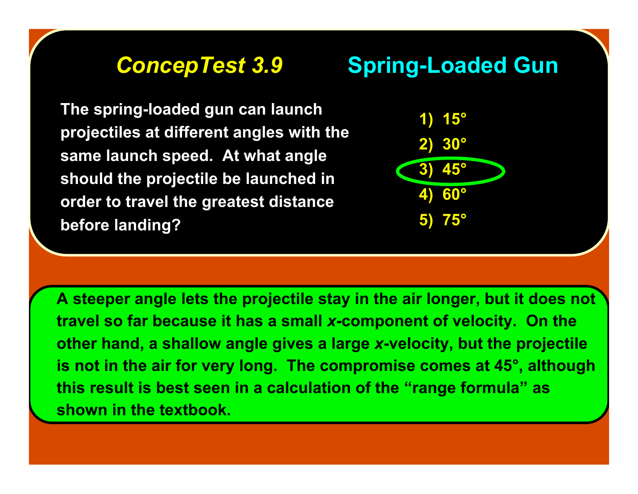**The spring-loaded gun can launch projectiles at different angles with the same launch speed. At what angle should the projectile be launched in order to travel the greatest distance before landing?**





**A steeper angle lets the projectile stay in the air longer, but it does not travel so far because it has a small** *x***-component of velocity. On the other hand, a shallow angle gives a large** *x***-velocity, but the projectile is not in the air for very long. The compromise comes at 45°, although this result is best seen in a calculation of the "range formula" as shown in the textbook.**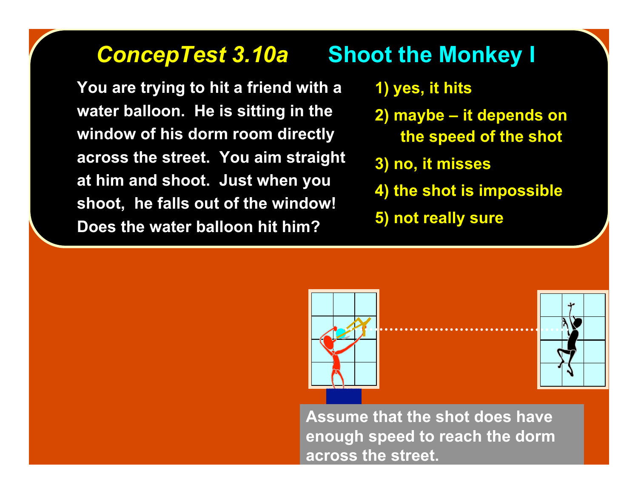# **ConcepTest 3.10a Shoot the Monkey I**

**You are trying to hit a friend with a water balloon. He is sitting in the window of his dorm room directly across the street. You aim straight at him and shoot. Just when you shoot, he falls out of the window! Does the water balloon hit him?**

### **1) yes, it hits**

- **2) maybe it depends on the speed of the shot**
- **3) no, it misses**
- **4) the shot is impossible**
- **5) not really sure**





**Assume that the shot does have enough speed to reach the dorm across the street.**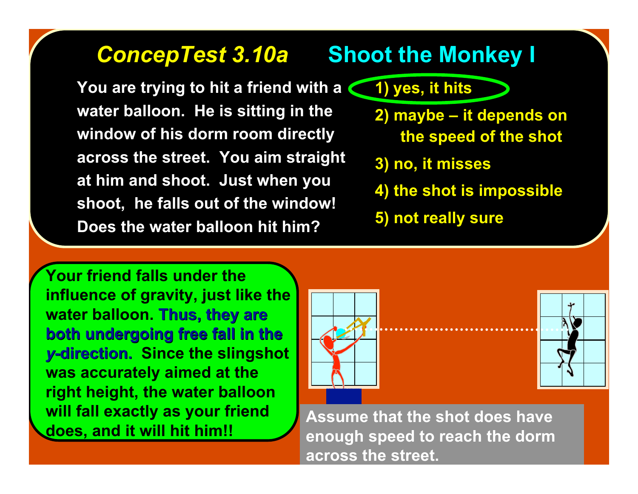**You are trying to hit a friend with a 1) yes, it hits water balloon. He is sitting in the window of his dorm room directly across the street. You aim straight at him and shoot. Just when you shoot, he falls out of the window! Does the water balloon hit him?**

# **ConcepTest 3.10a Shoot the Monkey I**

- 
- **2) maybe it depends on the speed of the shot**
- **3) no, it misses**
- **4) the shot is impossible**
- **5) not really sure**

**Your friend falls under the influence of gravity, just like the water balloon. Thus, they are they are both undergoing free fall in the both undergoing free fall in the** *y***-direction. Since the slingshot was accurately aimed at the right height, the water balloon will fall exactly as your friend does, and it will hit him!!**





**Assume that the shot does have enough speed to reach the dorm across the street.**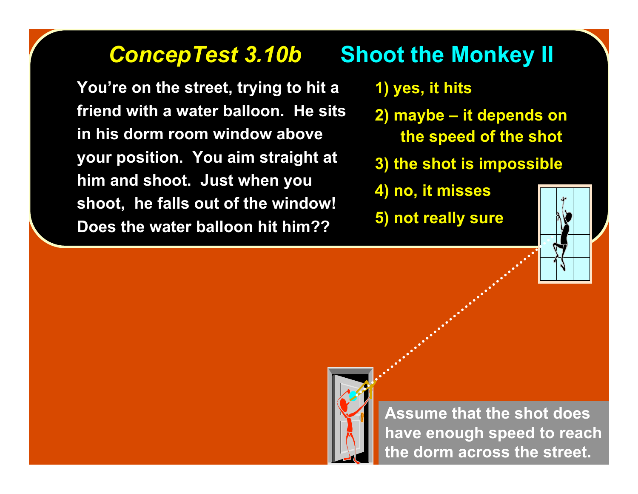### **ConcepTest 3.10b Shoot the Monkey II**

**You're on the street, trying to hit a friend with a water balloon. He sits in his dorm room window above your position. You aim straight at him and shoot. Just when you shoot, he falls out of the window! Does the water balloon hit him??**

- **1) yes, it hits**
- **2) maybe it depends on the speed of the shot**
- **3) the shot is impossible**
- **4) no, it misses**
- **5) not really sure**





**Assume that the shot does have enough speed to reach the dorm across the street.**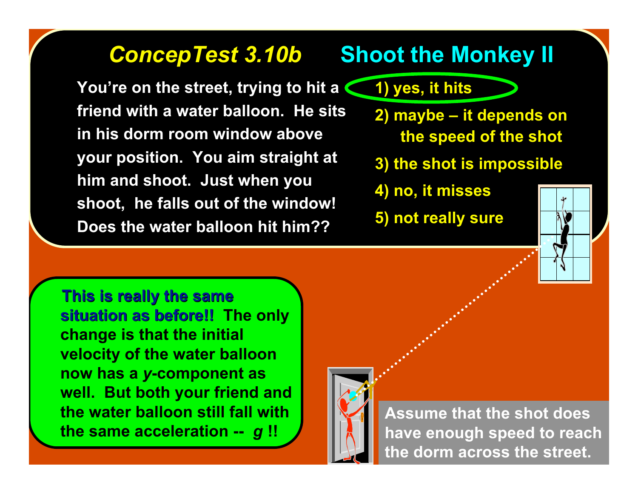**You're on the street, trying to hit a friend with a water balloon. He sits in his dorm room window above your position. You aim straight at him and shoot. Just when you shoot, he falls out of the window! Does the water balloon hit him??**

### **ConcepTest 3.10b Shoot the Monkey II**

### **1) yes, it hits**

- **2) maybe it depends on the speed of the shot**
- **3) the shot is impossible**
- **4) no, it misses**
- **5) not really sure**



 **This is really the same This is really the same situation as before!! situation as before!! The only change is that the initial velocity of the water balloon now has a** *y***-component as well. But both your friend and the water balloon still fall with the same acceleration --** *g* **!!**



**Assume that the shot does have enough speed to reach the dorm across the street.**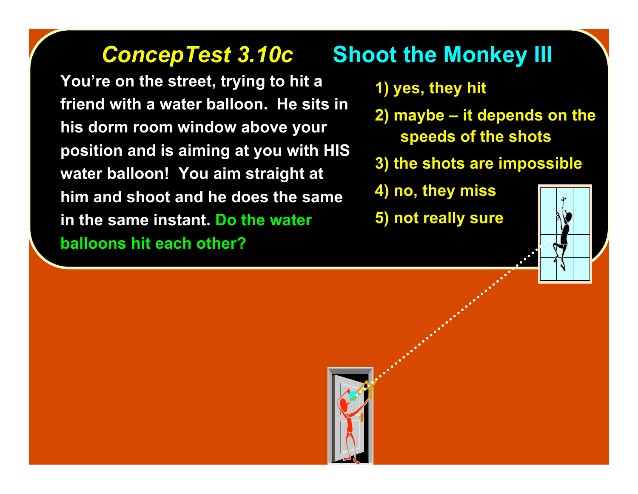**You're on the street, trying to hit a friend with a water balloon. He sits in his dorm room window above your position and is aiming at you with HIS water balloon! You aim straight at him and shoot and he does the same in the same instant. Do the water balloons hit each other?**

# **ConcepTest 3.10c •• Shoot the Monkey III**

- **1) yes, they hit**
- **2) maybe it depends on the speeds of the shots**
- **3) the shots are impossible**
- **4) no, they miss**
- **5) not really sure**